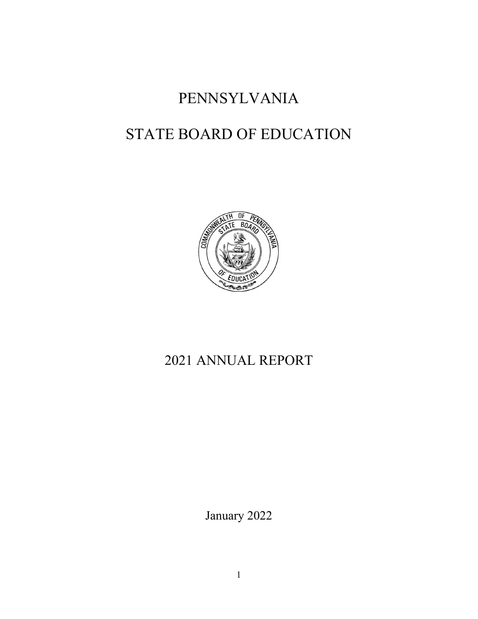# PENNSYLVANIA

# STATE BOARD OF EDUCATION



# 2021 ANNUAL REPORT

January 2022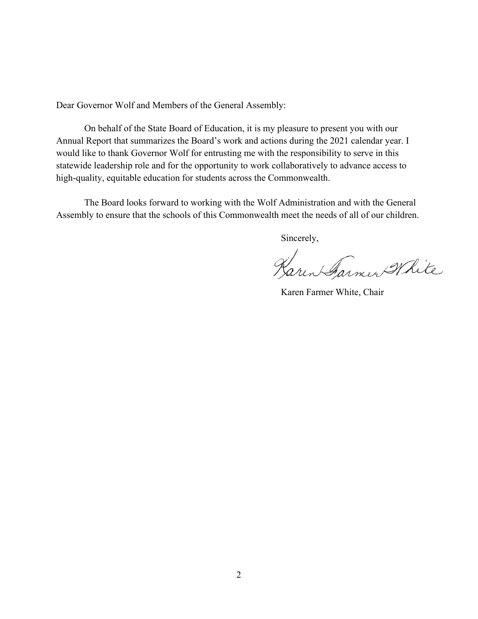Dear Governor Wolf and Members of the General Assembly:

On behalf of the State Board of Education, it is my pleasure to present you with our Annual Report that summarizes the Board's work and actions during the 2021 calendar year. I would like to thank Governor Wolf for entrusting me with the responsibility to serve in this statewide leadership role and for the opportunity to work collaboratively to advance access to high-quality, equitable education for students across the Commonwealth.

The Board looks forward to working with the Wolf Administration and with the General Assembly to ensure that the schools of this Commonwealth meet the needs of all of our children.

Sincerely,

Karen Farmer White

Karen Farmer White, Chair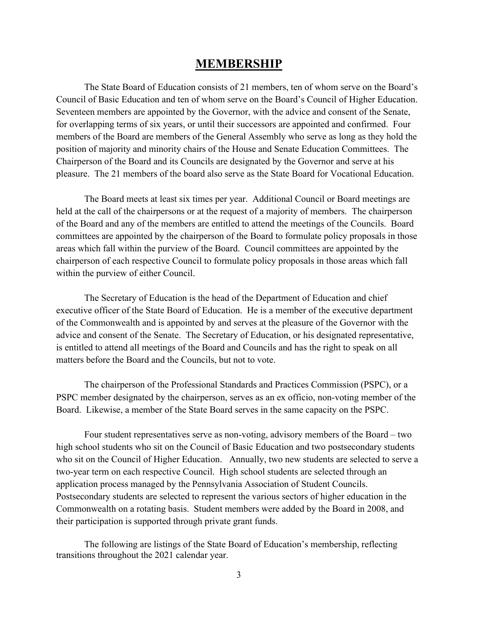## **MEMBERSHIP**

The State Board of Education consists of 21 members, ten of whom serve on the Board's Council of Basic Education and ten of whom serve on the Board's Council of Higher Education. Seventeen members are appointed by the Governor, with the advice and consent of the Senate, for overlapping terms of six years, or until their successors are appointed and confirmed. Four members of the Board are members of the General Assembly who serve as long as they hold the position of majority and minority chairs of the House and Senate Education Committees. The Chairperson of the Board and its Councils are designated by the Governor and serve at his pleasure. The 21 members of the board also serve as the State Board for Vocational Education.

The Board meets at least six times per year. Additional Council or Board meetings are held at the call of the chairpersons or at the request of a majority of members. The chairperson of the Board and any of the members are entitled to attend the meetings of the Councils. Board committees are appointed by the chairperson of the Board to formulate policy proposals in those areas which fall within the purview of the Board. Council committees are appointed by the chairperson of each respective Council to formulate policy proposals in those areas which fall within the purview of either Council.

The Secretary of Education is the head of the Department of Education and chief executive officer of the State Board of Education. He is a member of the executive department of the Commonwealth and is appointed by and serves at the pleasure of the Governor with the advice and consent of the Senate. The Secretary of Education, or his designated representative, is entitled to attend all meetings of the Board and Councils and has the right to speak on all matters before the Board and the Councils, but not to vote.

The chairperson of the Professional Standards and Practices Commission (PSPC), or a PSPC member designated by the chairperson, serves as an ex officio, non-voting member of the Board. Likewise, a member of the State Board serves in the same capacity on the PSPC.

Four student representatives serve as non-voting, advisory members of the Board – two high school students who sit on the Council of Basic Education and two postsecondary students who sit on the Council of Higher Education. Annually, two new students are selected to serve a two-year term on each respective Council. High school students are selected through an application process managed by the Pennsylvania Association of Student Councils. Postsecondary students are selected to represent the various sectors of higher education in the Commonwealth on a rotating basis. Student members were added by the Board in 2008, and their participation is supported through private grant funds.

The following are listings of the State Board of Education's membership, reflecting transitions throughout the 2021 calendar year.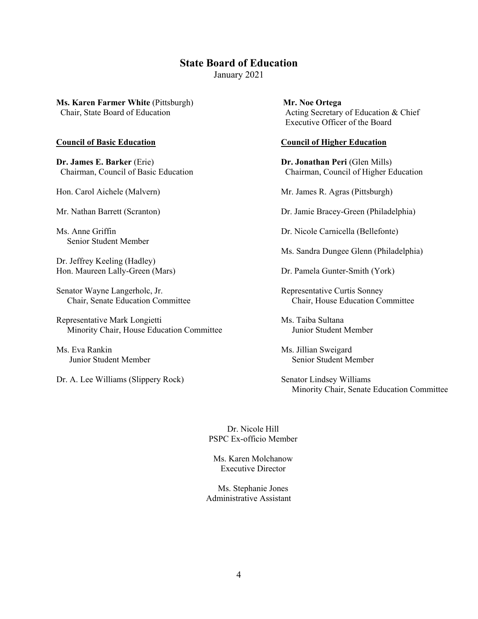## **State Board of Education**

January 2021

**Ms. Karen Farmer White** (Pittsburgh) **Mr. Noe Ortega**

**Dr. James E. Barker** (Erie) **Dr. Jonathan Peri** (Glen Mills)

Senior Student Member

Dr. Jeffrey Keeling (Hadley) Hon. Maureen Lally-Green (Mars) Dr. Pamela Gunter-Smith (York)

Senator Wayne Langerholc, Jr. (2008) Representative Curtis Sonney

Representative Mark Longietti Ms. Taiba Sultana Minority Chair, House Education Committee Junior Student Member

Ms. Eva Rankin Ms. Jillian Sweigard

Dr. A. Lee Williams (Slippery Rock) Senator Lindsey Williams

Chair, State Board of Education **Acting Secretary of Education & Chief** Chief Executive Officer of the Board

#### **Council of Basic Education Council of Higher Education**

Chairman, Council of Basic Education Chairman, Council of Higher Education

Hon. Carol Aichele (Malvern) Mr. James R. Agras (Pittsburgh)

Mr. Nathan Barrett (Scranton) Dr. Jamie Bracey-Green (Philadelphia)

Ms. Anne Griffin Dr. Nicole Carnicella (Bellefonte)

Ms. Sandra Dungee Glenn (Philadelphia)

Chair, Senate Education Committee Chair, House Education Committee

Junior Student Member Senior Student Member

Minority Chair, Senate Education Committee

Dr. Nicole Hill PSPC Ex-officio Member

Ms. Karen Molchanow Executive Director

Ms. Stephanie Jones Administrative Assistant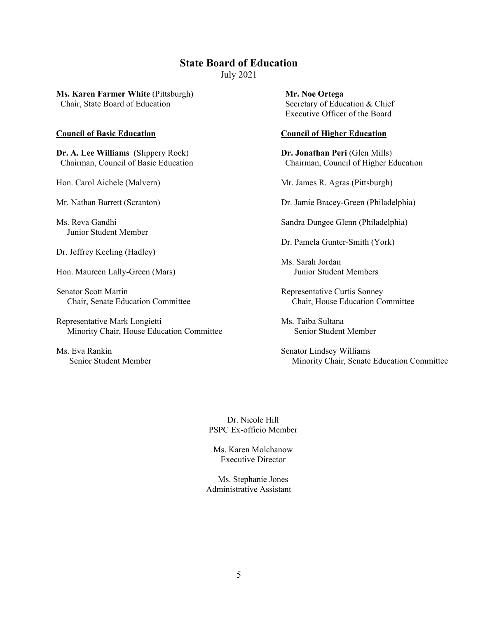### **State Board of Education** July 2021

**Ms. Karen Farmer White** (Pittsburgh) **Mr. Noe Ortega** Chair, State Board of Education Secretary of Education & Chief

**Dr. A. Lee Williams** (Slippery Rock) **Dr. Jonathan Peri** (Glen Mills)

Junior Student Member

Dr. Jeffrey Keeling (Hadley)

Hon. Maureen Lally-Green (Mars) Junior Student Members

Senator Scott Martin **Representative Curtis Sonney** 

Representative Mark Longietti Ms. Taiba Sultana Minority Chair, House Education Committee Senior Student Member

Ms. Eva Rankin Senator Lindsey Williams

Executive Officer of the Board

#### **Council of Basic Education Council of Higher Education**

Chairman, Council of Basic Education Chairman, Council of Higher Education

Hon. Carol Aichele (Malvern) Mr. James R. Agras (Pittsburgh)

Mr. Nathan Barrett (Scranton) Dr. Jamie Bracey-Green (Philadelphia)

Ms. Reva Gandhi Sandra Dungee Glenn (Philadelphia)

Dr. Pamela Gunter-Smith (York)

Ms. Sarah Jordan

Chair, Senate Education Committee Chair, House Education Committee

Senior Student Member Minority Chair, Senate Education Committee

Dr. Nicole Hill PSPC Ex-officio Member

Ms. Karen Molchanow Executive Director

Ms. Stephanie Jones Administrative Assistant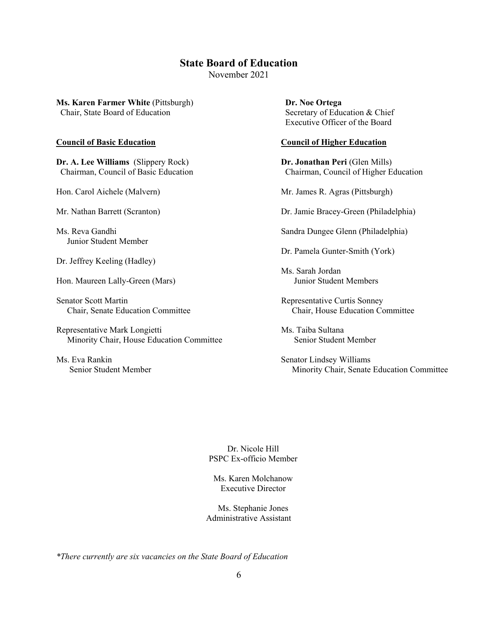# **State Board of Education**

November 2021

**Ms. Karen Farmer White** (Pittsburgh) **Dr. Noe Ortega** Chair, State Board of Education Secretary of Education & Chief

**Dr. A. Lee Williams** (Slippery Rock) **Dr. Jonathan Peri** (Glen Mills)

Junior Student Member

Dr. Jeffrey Keeling (Hadley)

Hon. Maureen Lally-Green (Mars)

Senator Scott Martin **Representative Curtis Sonney** 

Representative Mark Longietti Ms. Taiba Sultana Minority Chair, House Education Committee Senior Student Member

Ms. Eva Rankin Senator Lindsey Williams

Executive Officer of the Board

#### **Council of Basic Education Council of Higher Education**

Chairman, Council of Basic Education Chairman, Council of Higher Education

Hon. Carol Aichele (Malvern) Mr. James R. Agras (Pittsburgh)

Mr. Nathan Barrett (Scranton) Dr. Jamie Bracey-Green (Philadelphia)

Ms. Reva Gandhi Sandra Dungee Glenn (Philadelphia)

Dr. Pamela Gunter-Smith (York)

Ms. Sarah Jordan

Chair, Senate Education Committee Chair, House Education Committee

Senior Student Member Minority Chair, Senate Education Committee

Dr. Nicole Hill PSPC Ex-officio Member

Ms. Karen Molchanow Executive Director

Ms. Stephanie Jones Administrative Assistant

*\*There currently are six vacancies on the State Board of Education*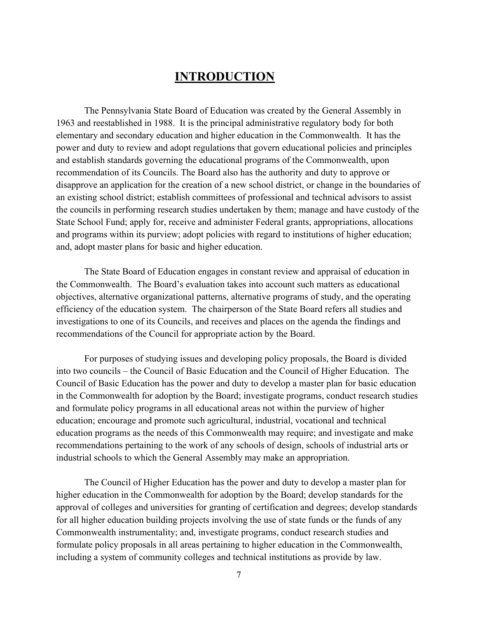# **INTRODUCTION**

The Pennsylvania State Board of Education was created by the General Assembly in 1963 and reestablished in 1988. It is the principal administrative regulatory body for both elementary and secondary education and higher education in the Commonwealth. It has the power and duty to review and adopt regulations that govern educational policies and principles and establish standards governing the educational programs of the Commonwealth, upon recommendation of its Councils. The Board also has the authority and duty to approve or disapprove an application for the creation of a new school district, or change in the boundaries of an existing school district; establish committees of professional and technical advisors to assist the councils in performing research studies undertaken by them; manage and have custody of the State School Fund; apply for, receive and administer Federal grants, appropriations, allocations and programs within its purview; adopt policies with regard to institutions of higher education; and, adopt master plans for basic and higher education.

The State Board of Education engages in constant review and appraisal of education in the Commonwealth. The Board's evaluation takes into account such matters as educational objectives, alternative organizational patterns, alternative programs of study, and the operating efficiency of the education system. The chairperson of the State Board refers all studies and investigations to one of its Councils, and receives and places on the agenda the findings and recommendations of the Council for appropriate action by the Board.

For purposes of studying issues and developing policy proposals, the Board is divided into two councils – the Council of Basic Education and the Council of Higher Education. The Council of Basic Education has the power and duty to develop a master plan for basic education in the Commonwealth for adoption by the Board; investigate programs, conduct research studies and formulate policy programs in all educational areas not within the purview of higher education; encourage and promote such agricultural, industrial, vocational and technical education programs as the needs of this Commonwealth may require; and investigate and make recommendations pertaining to the work of any schools of design, schools of industrial arts or industrial schools to which the General Assembly may make an appropriation.

The Council of Higher Education has the power and duty to develop a master plan for higher education in the Commonwealth for adoption by the Board; develop standards for the approval of colleges and universities for granting of certification and degrees; develop standards for all higher education building projects involving the use of state funds or the funds of any Commonwealth instrumentality; and, investigate programs, conduct research studies and formulate policy proposals in all areas pertaining to higher education in the Commonwealth, including a system of community colleges and technical institutions as provide by law.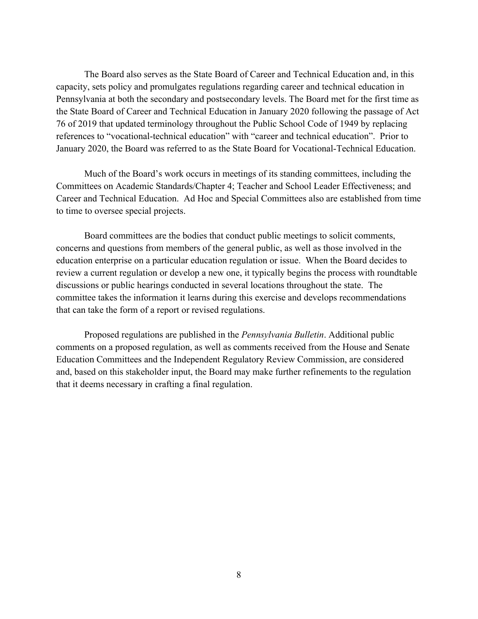The Board also serves as the State Board of Career and Technical Education and, in this capacity, sets policy and promulgates regulations regarding career and technical education in Pennsylvania at both the secondary and postsecondary levels. The Board met for the first time as the State Board of Career and Technical Education in January 2020 following the passage of Act 76 of 2019 that updated terminology throughout the Public School Code of 1949 by replacing references to "vocational-technical education" with "career and technical education". Prior to January 2020, the Board was referred to as the State Board for Vocational-Technical Education.

Much of the Board's work occurs in meetings of its standing committees, including the Committees on Academic Standards/Chapter 4; Teacher and School Leader Effectiveness; and Career and Technical Education. Ad Hoc and Special Committees also are established from time to time to oversee special projects.

Board committees are the bodies that conduct public meetings to solicit comments, concerns and questions from members of the general public, as well as those involved in the education enterprise on a particular education regulation or issue. When the Board decides to review a current regulation or develop a new one, it typically begins the process with roundtable discussions or public hearings conducted in several locations throughout the state. The committee takes the information it learns during this exercise and develops recommendations that can take the form of a report or revised regulations.

Proposed regulations are published in the *Pennsylvania Bulletin*. Additional public comments on a proposed regulation, as well as comments received from the House and Senate Education Committees and the Independent Regulatory Review Commission, are considered and, based on this stakeholder input, the Board may make further refinements to the regulation that it deems necessary in crafting a final regulation.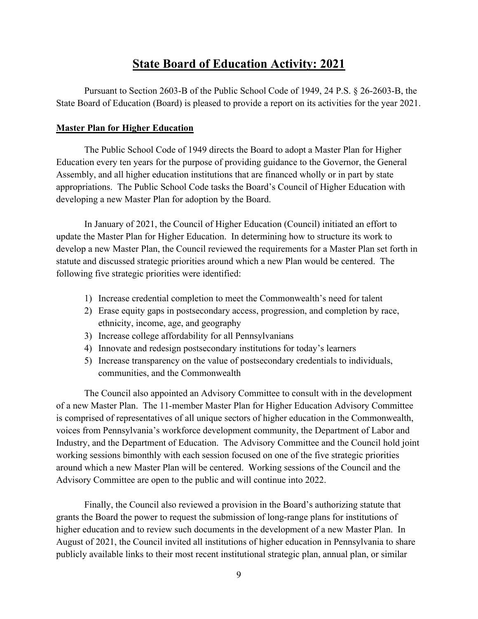## **State Board of Education Activity: 2021**

Pursuant to Section 2603-B of the Public School Code of 1949, 24 P.S. § 26-2603-B, the State Board of Education (Board) is pleased to provide a report on its activities for the year 2021.

### **Master Plan for Higher Education**

The Public School Code of 1949 directs the Board to adopt a Master Plan for Higher Education every ten years for the purpose of providing guidance to the Governor, the General Assembly, and all higher education institutions that are financed wholly or in part by state appropriations. The Public School Code tasks the Board's Council of Higher Education with developing a new Master Plan for adoption by the Board.

In January of 2021, the Council of Higher Education (Council) initiated an effort to update the Master Plan for Higher Education. In determining how to structure its work to develop a new Master Plan, the Council reviewed the requirements for a Master Plan set forth in statute and discussed strategic priorities around which a new Plan would be centered. The following five strategic priorities were identified:

- 1) Increase credential completion to meet the Commonwealth's need for talent
- 2) Erase equity gaps in postsecondary access, progression, and completion by race, ethnicity, income, age, and geography
- 3) Increase college affordability for all Pennsylvanians
- 4) Innovate and redesign postsecondary institutions for today's learners
- 5) Increase transparency on the value of postsecondary credentials to individuals, communities, and the Commonwealth

The Council also appointed an Advisory Committee to consult with in the development of a new Master Plan. The 11-member Master Plan for Higher Education Advisory Committee is comprised of representatives of all unique sectors of higher education in the Commonwealth, voices from Pennsylvania's workforce development community, the Department of Labor and Industry, and the Department of Education. The Advisory Committee and the Council hold joint working sessions bimonthly with each session focused on one of the five strategic priorities around which a new Master Plan will be centered. Working sessions of the Council and the Advisory Committee are open to the public and will continue into 2022.

Finally, the Council also reviewed a provision in the Board's authorizing statute that grants the Board the power to request the submission of long-range plans for institutions of higher education and to review such documents in the development of a new Master Plan. In August of 2021, the Council invited all institutions of higher education in Pennsylvania to share publicly available links to their most recent institutional strategic plan, annual plan, or similar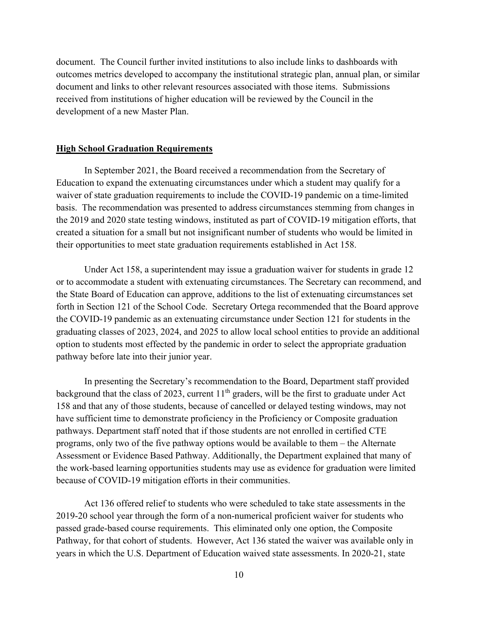document. The Council further invited institutions to also include links to dashboards with outcomes metrics developed to accompany the institutional strategic plan, annual plan, or similar document and links to other relevant resources associated with those items. Submissions received from institutions of higher education will be reviewed by the Council in the development of a new Master Plan.

#### **High School Graduation Requirements**

In September 2021, the Board received a recommendation from the Secretary of Education to expand the extenuating circumstances under which a student may qualify for a waiver of state graduation requirements to include the COVID-19 pandemic on a time-limited basis. The recommendation was presented to address circumstances stemming from changes in the 2019 and 2020 state testing windows, instituted as part of COVID-19 mitigation efforts, that created a situation for a small but not insignificant number of students who would be limited in their opportunities to meet state graduation requirements established in Act 158.

Under Act 158, a superintendent may issue a graduation waiver for students in grade 12 or to accommodate a student with extenuating circumstances. The Secretary can recommend, and the State Board of Education can approve, additions to the list of extenuating circumstances set forth in Section 121 of the School Code. Secretary Ortega recommended that the Board approve the COVID-19 pandemic as an extenuating circumstance under Section 121 for students in the graduating classes of 2023, 2024, and 2025 to allow local school entities to provide an additional option to students most effected by the pandemic in order to select the appropriate graduation pathway before late into their junior year.

In presenting the Secretary's recommendation to the Board, Department staff provided background that the class of 2023, current  $11<sup>th</sup>$  graders, will be the first to graduate under Act 158 and that any of those students, because of cancelled or delayed testing windows, may not have sufficient time to demonstrate proficiency in the Proficiency or Composite graduation pathways. Department staff noted that if those students are not enrolled in certified CTE programs, only two of the five pathway options would be available to them – the Alternate Assessment or Evidence Based Pathway. Additionally, the Department explained that many of the work-based learning opportunities students may use as evidence for graduation were limited because of COVID-19 mitigation efforts in their communities.

Act 136 offered relief to students who were scheduled to take state assessments in the 2019-20 school year through the form of a non-numerical proficient waiver for students who passed grade-based course requirements. This eliminated only one option, the Composite Pathway, for that cohort of students. However, Act 136 stated the waiver was available only in years in which the U.S. Department of Education waived state assessments. In 2020-21, state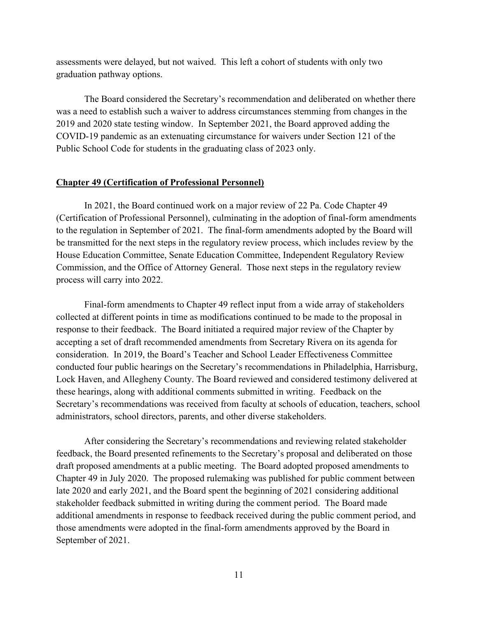assessments were delayed, but not waived. This left a cohort of students with only two graduation pathway options.

The Board considered the Secretary's recommendation and deliberated on whether there was a need to establish such a waiver to address circumstances stemming from changes in the 2019 and 2020 state testing window. In September 2021, the Board approved adding the COVID-19 pandemic as an extenuating circumstance for waivers under Section 121 of the Public School Code for students in the graduating class of 2023 only.

#### **Chapter 49 (Certification of Professional Personnel)**

In 2021, the Board continued work on a major review of 22 Pa. Code Chapter 49 (Certification of Professional Personnel), culminating in the adoption of final-form amendments to the regulation in September of 2021. The final-form amendments adopted by the Board will be transmitted for the next steps in the regulatory review process, which includes review by the House Education Committee, Senate Education Committee, Independent Regulatory Review Commission, and the Office of Attorney General. Those next steps in the regulatory review process will carry into 2022.

Final-form amendments to Chapter 49 reflect input from a wide array of stakeholders collected at different points in time as modifications continued to be made to the proposal in response to their feedback. The Board initiated a required major review of the Chapter by accepting a set of draft recommended amendments from Secretary Rivera on its agenda for consideration. In 2019, the Board's Teacher and School Leader Effectiveness Committee conducted four public hearings on the Secretary's recommendations in Philadelphia, Harrisburg, Lock Haven, and Allegheny County. The Board reviewed and considered testimony delivered at these hearings, along with additional comments submitted in writing. Feedback on the Secretary's recommendations was received from faculty at schools of education, teachers, school administrators, school directors, parents, and other diverse stakeholders.

After considering the Secretary's recommendations and reviewing related stakeholder feedback, the Board presented refinements to the Secretary's proposal and deliberated on those draft proposed amendments at a public meeting. The Board adopted proposed amendments to Chapter 49 in July 2020. The proposed rulemaking was published for public comment between late 2020 and early 2021, and the Board spent the beginning of 2021 considering additional stakeholder feedback submitted in writing during the comment period. The Board made additional amendments in response to feedback received during the public comment period, and those amendments were adopted in the final-form amendments approved by the Board in September of 2021.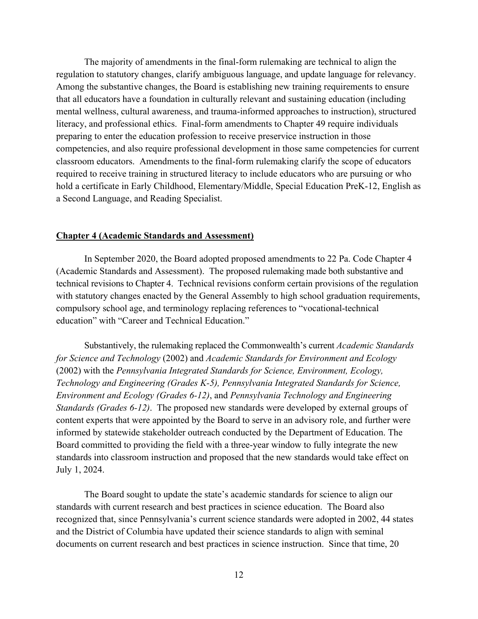The majority of amendments in the final-form rulemaking are technical to align the regulation to statutory changes, clarify ambiguous language, and update language for relevancy. Among the substantive changes, the Board is establishing new training requirements to ensure that all educators have a foundation in culturally relevant and sustaining education (including mental wellness, cultural awareness, and trauma-informed approaches to instruction), structured literacy, and professional ethics. Final-form amendments to Chapter 49 require individuals preparing to enter the education profession to receive preservice instruction in those competencies, and also require professional development in those same competencies for current classroom educators. Amendments to the final-form rulemaking clarify the scope of educators required to receive training in structured literacy to include educators who are pursuing or who hold a certificate in Early Childhood, Elementary/Middle, Special Education PreK-12, English as a Second Language, and Reading Specialist.

#### **Chapter 4 (Academic Standards and Assessment)**

In September 2020, the Board adopted proposed amendments to 22 Pa. Code Chapter 4 (Academic Standards and Assessment). The proposed rulemaking made both substantive and technical revisions to Chapter 4. Technical revisions conform certain provisions of the regulation with statutory changes enacted by the General Assembly to high school graduation requirements, compulsory school age, and terminology replacing references to "vocational-technical education" with "Career and Technical Education."

Substantively, the rulemaking replaced the Commonwealth's current *Academic Standards for Science and Technology* (2002) and *Academic Standards for Environment and Ecology*  (2002) with the *Pennsylvania Integrated Standards for Science, Environment, Ecology, Technology and Engineering (Grades K-5), Pennsylvania Integrated Standards for Science, Environment and Ecology (Grades 6-12)*, and *Pennsylvania Technology and Engineering Standards (Grades 6-12)*. The proposed new standards were developed by external groups of content experts that were appointed by the Board to serve in an advisory role, and further were informed by statewide stakeholder outreach conducted by the Department of Education. The Board committed to providing the field with a three-year window to fully integrate the new standards into classroom instruction and proposed that the new standards would take effect on July 1, 2024.

The Board sought to update the state's academic standards for science to align our standards with current research and best practices in science education. The Board also recognized that, since Pennsylvania's current science standards were adopted in 2002, 44 states and the District of Columbia have updated their science standards to align with seminal documents on current research and best practices in science instruction. Since that time, 20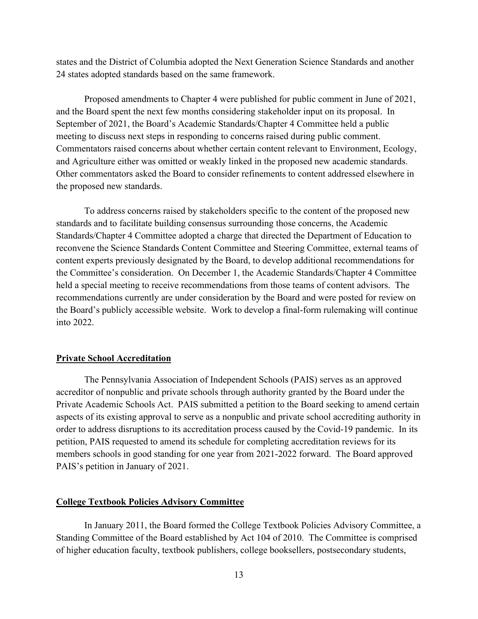states and the District of Columbia adopted the Next Generation Science Standards and another 24 states adopted standards based on the same framework.

Proposed amendments to Chapter 4 were published for public comment in June of 2021, and the Board spent the next few months considering stakeholder input on its proposal. In September of 2021, the Board's Academic Standards/Chapter 4 Committee held a public meeting to discuss next steps in responding to concerns raised during public comment. Commentators raised concerns about whether certain content relevant to Environment, Ecology, and Agriculture either was omitted or weakly linked in the proposed new academic standards. Other commentators asked the Board to consider refinements to content addressed elsewhere in the proposed new standards.

To address concerns raised by stakeholders specific to the content of the proposed new standards and to facilitate building consensus surrounding those concerns, the Academic Standards/Chapter 4 Committee adopted a charge that directed the Department of Education to reconvene the Science Standards Content Committee and Steering Committee, external teams of content experts previously designated by the Board, to develop additional recommendations for the Committee's consideration. On December 1, the Academic Standards/Chapter 4 Committee held a special meeting to receive recommendations from those teams of content advisors. The recommendations currently are under consideration by the Board and were posted for review on the Board's publicly accessible website. Work to develop a final-form rulemaking will continue into 2022.

#### **Private School Accreditation**

The Pennsylvania Association of Independent Schools (PAIS) serves as an approved accreditor of nonpublic and private schools through authority granted by the Board under the Private Academic Schools Act. PAIS submitted a petition to the Board seeking to amend certain aspects of its existing approval to serve as a nonpublic and private school accrediting authority in order to address disruptions to its accreditation process caused by the Covid-19 pandemic. In its petition, PAIS requested to amend its schedule for completing accreditation reviews for its members schools in good standing for one year from 2021-2022 forward. The Board approved PAIS's petition in January of 2021.

### **College Textbook Policies Advisory Committee**

In January 2011, the Board formed the College Textbook Policies Advisory Committee, a Standing Committee of the Board established by Act 104 of 2010. The Committee is comprised of higher education faculty, textbook publishers, college booksellers, postsecondary students,